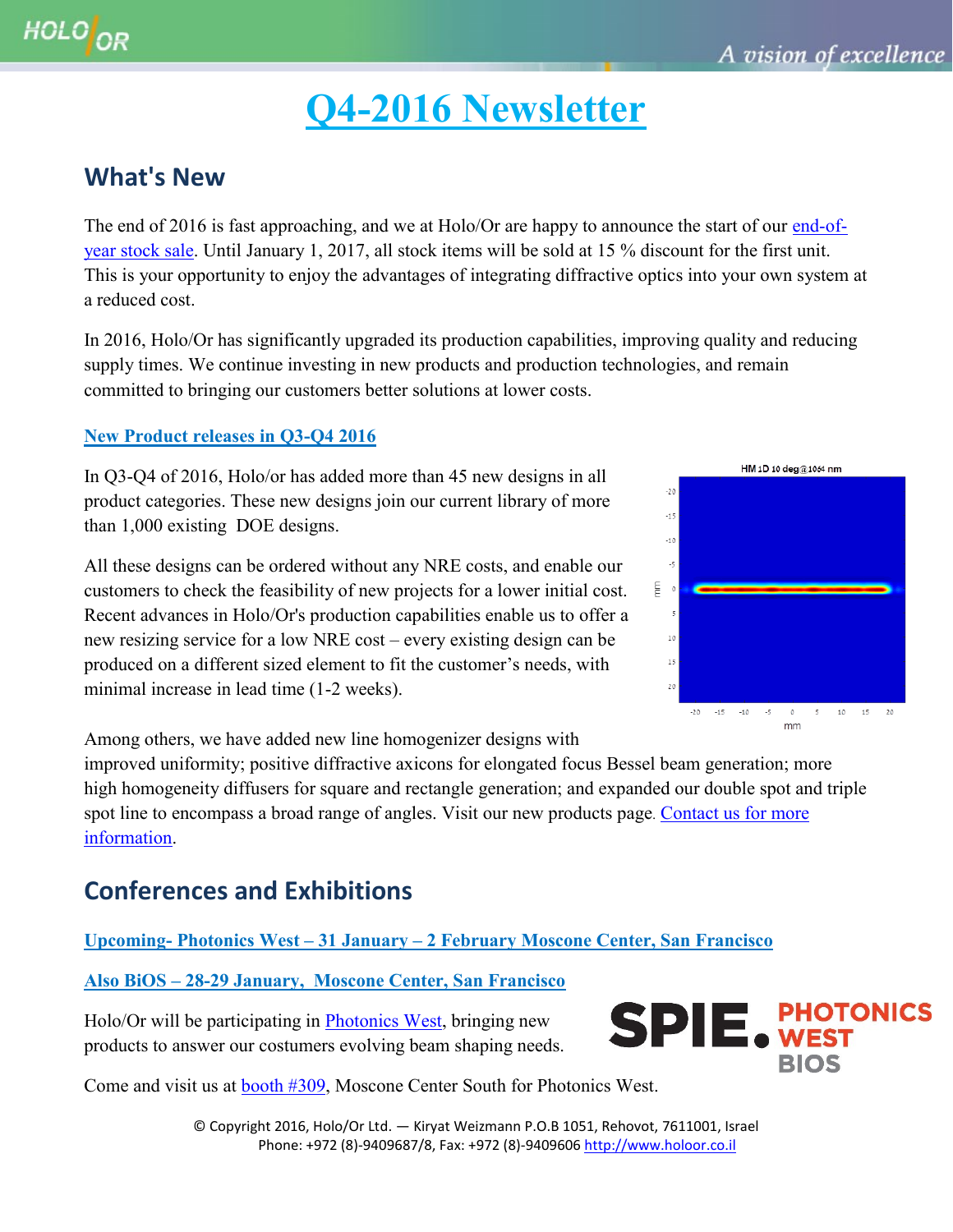# **Q4-2016 Newsletter**

## **What's New**

The end of 2016 is fast approaching, and we at Holo/Or are happy to announce the start of our [end-of](http://www.holoor.co.il/ContactUs/ContactUs.htm)[year stock sale.](http://www.holoor.co.il/ContactUs/ContactUs.htm) Until January 1, 2017, all stock items will be sold at 15 % discount for the first unit. This is your opportunity to enjoy the advantages of integrating diffractive optics into your own system at a reduced cost.

In 2016, Holo/Or has significantly upgraded its production capabilities, improving quality and reducing supply times. We continue investing in new products and production technologies, and remain committed to bringing our customers better solutions at lower costs.

#### **[New Product releases in Q3-Q4 2016](http://www.holoor.co.il/Diffractive_Optics_Products/Product_Releases.php)**

In Q3-Q4 of 2016, Holo/or has added more than 45 new designs in all product categories. These new designs join our current library of more than 1,000 existing DOE designs.

All these designs can be ordered without any NRE costs, and enable our customers to check the feasibility of new projects for a lower initial cost. Recent advances in Holo/Or's production capabilities enable us to offer a new resizing service for a low NRE cost – every existing design can be produced on a different sized element to fit the customer's needs, with minimal increase in lead time (1-2 weeks).



Among others, we have added new line homogenizer designs with

improved uniformity; positive diffractive axicons for elongated focus Bessel beam generation; more high homogeneity diffusers for square and rectangle generation; and expanded our double spot and triple spot line to encompass a broad range of angles. Visit our [new products page](http://www.holoor.co.il/Diffractive_Optics_Products/Product_Releases.php). Contact us for more [information.](http://www.holoor.co.il/ContactUs/ContactUs.htm)

## **Conferences and Exhibitions**

#### **Upcoming- Photonics West – 31 January – 2 February Moscone Center, San Francisco**

**Also BiOS – 28-29 January, Moscone Center, San Francisco**

Holo/Or will be participating in [Photonics West,](http://spie.org/exhibitor/details.aspx?expo=SPIE-Photonics-West-2017&name=HOLO%2fOR-Ltd.) bringing new products to answer our costumers evolving beam shaping needs. **SPIE.** PHOTONICS

Come and visit us at [booth #309,](https://www.moscone.com/mtgplanners/floorplans/northsouth/esplanade.shtml) Moscone Center South for Photonics West.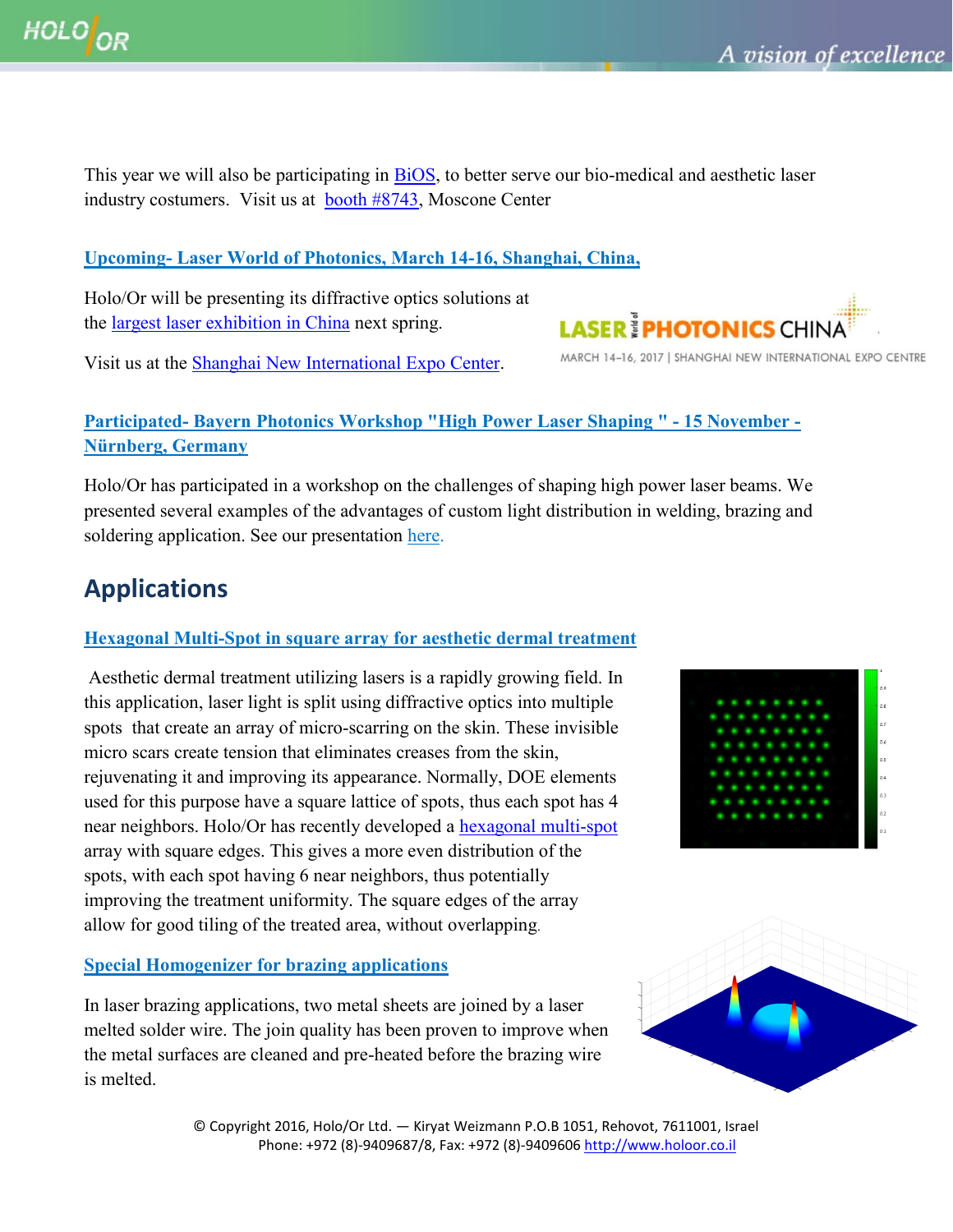This year we will also be participating in [BiOS,](http://spie.org/exhibitor/details.aspx?expo=SPIE-BiOS-2017&name=HOLO%2fOR-Ltd.) to better serve our bio-medical and aesthetic laser industry costumers. Visit us at [booth #8743,](http://spie.org/app/floorplans/PW17B/default.html) Moscone Center

#### **Upcoming- Laser World of Photonics, March 14-16, Shanghai, China,**

Holo/Or will be presenting its diffractive optics solutions at the [largest laser exhibition in China](http://www.world-of-photonics-china.com/index.html) next spring.

Visit us at the [Shanghai New International Expo Center.](http://www.sniec.net/)

#### **Participated- Bayern Photonics Workshop ["High Power Laser Shaping " -](http://bayern-photonics.de/veranstaltungen/veranstaltung/formung-von-laserstrahlung-hoher-leistung-193/) 15 November - [Nürnberg,](http://bayern-photonics.de/veranstaltungen/veranstaltung/formung-von-laserstrahlung-hoher-leistung-193/) Germany**

Holo/Or has participated in a workshop on the challenges of shaping high power laser beams. We presented several examples of the advantages of custom light distribution in welding, brazing and soldering application. See our presentation [here.](https://drive.google.com/file/d/0B4y_5jj3ySJ_V2VHU3R1SHRCb00/view?usp=sharing)

## **Applications**

#### **Hexagonal Multi-Spot in square array for aesthetic dermal treatment**

Aesthetic dermal treatment utilizing lasers is a rapidly growing field. In this application, laser light is split using diffractive optics into multiple spots that create an array of micro-scarring on the skin. These invisible micro scars create tension that eliminates creases from the skin, rejuvenating it and improving its appearance. Normally, DOE elements used for this purpose have a square lattice of spots, thus each spot has 4 near neighbors. Holo/Or has recently developed a [hexagonal multi-spot](http://www.holoor.co.il/Diffractive_Optics_Products/php/productParameters_page.php?PN=MS-388-I-Y-X&lamda=1064&Dim=2D) array with square edges. This gives a more even distribution of the spots, with each spot having 6 near neighbors, thus potentially improving the treatment uniformity. The square edges of the array allow for good tiling of the treated area, without overlapping.

#### **Special Homogenizer for brazing applications**

In laser brazing applications, two metal sheets are joined by a laser melted solder wire. The join quality has been proven to improve when the metal surfaces are cleaned and pre-heated before the brazing wire is melted.







MARCH 14-16, 2017 | SHANGHAI NEW INTERNATIONAL EXPO CENTRE